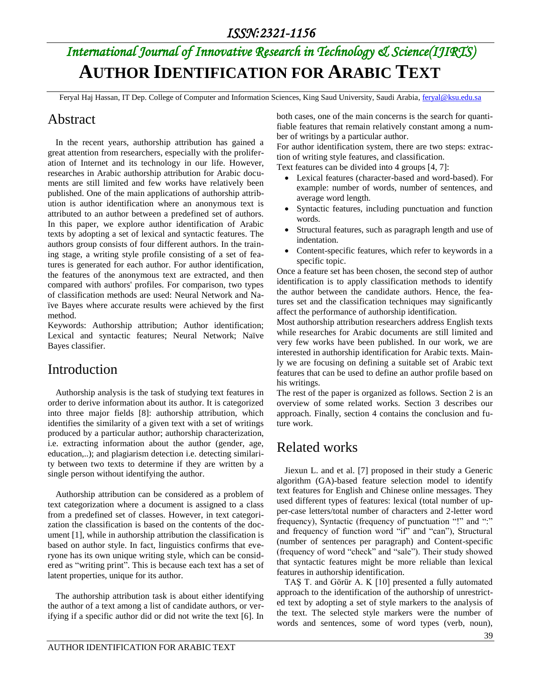# *International Journal of Innovative Research in Technology & Science(IJIRTS)* **AUTHOR IDENTIFICATION FOR ARABIC TEXT**

Feryal Haj Hassan, IT Dep. College of Computer and Information Sciences, King Saud University, Saudi Arabia, [feryal@ksu.edu.sa](mailto:feryal@ksu.edu.sa)

#### Abstract

In the recent years, authorship attribution has gained a great attention from researchers, especially with the proliferation of Internet and its technology in our life. However, researches in Arabic authorship attribution for Arabic documents are still limited and few works have relatively been published. One of the main applications of authorship attribution is author identification where an anonymous text is attributed to an author between a predefined set of authors. In this paper, we explore author identification of Arabic texts by adopting a set of lexical and syntactic features. The authors group consists of four different authors. In the training stage, a writing style profile consisting of a set of features is generated for each author. For author identification, the features of the anonymous text are extracted, and then compared with authors' profiles. For comparison, two types of classification methods are used: Neural Network and Naïve Bayes where accurate results were achieved by the first method.

Keywords: Authorship attribution; Author identification; Lexical and syntactic features; Neural Network; Naïve Bayes classifier.

### Introduction

Authorship analysis is the task of studying text features in order to derive information about its author. It is categorized into three major fields [8]: authorship attribution, which identifies the similarity of a given text with a set of writings produced by a particular author; authorship characterization, i.e. extracting information about the author (gender, age, education,..); and plagiarism detection i.e. detecting similarity between two texts to determine if they are written by a single person without identifying the author.

Authorship attribution can be considered as a problem of text categorization where a document is assigned to a class from a predefined set of classes. However, in text categorization the classification is based on the contents of the document [1], while in authorship attribution the classification is based on author style. In fact, linguistics confirms that everyone has its own unique writing style, which can be considered as "writing print". This is because each text has a set of latent properties, unique for its author.

The authorship attribution task is about either identifying the author of a text among a list of candidate authors, or verifying if a specific author did or did not write the text [6]. In

both cases, one of the main concerns is the search for quantifiable features that remain relatively constant among a number of writings by a particular author.

For author identification system, there are two steps: extraction of writing style features, and classification.

Text features can be divided into 4 groups [4, 7]:

- Lexical features (character-based and word-based). For example: number of words, number of sentences, and average word length.
- Syntactic features, including punctuation and function words.
- Structural features, such as paragraph length and use of indentation.
- Content-specific features, which refer to keywords in a specific topic.

Once a feature set has been chosen, the second step of author identification is to apply classification methods to identify the author between the candidate authors. Hence, the features set and the classification techniques may significantly affect the performance of authorship identification.

Most authorship attribution researchers address English texts while researches for Arabic documents are still limited and very few works have been published. In our work, we are interested in authorship identification for Arabic texts. Mainly we are focusing on defining a suitable set of Arabic text features that can be used to define an author profile based on his writings.

The rest of the paper is organized as follows. Section 2 is an overview of some related works. Section 3 describes our approach. Finally, section 4 contains the conclusion and future work.

### Related works

Jiexun L. and et al. [7] proposed in their study a Generic algorithm (GA)-based feature selection model to identify text features for English and Chinese online messages. They used different types of features: lexical (total number of upper-case letters/total number of characters and 2-letter word frequency), Syntactic (frequency of punctuation "!" and ":" and frequency of function word "if" and "can"), Structural (number of sentences per paragraph) and Content-specific (frequency of word "check" and "sale"). Their study showed that syntactic features might be more reliable than lexical features in authorship identification.

TAŞ T. and Görür A. K [10] presented a fully automated approach to the identification of the authorship of unrestricted text by adopting a set of style markers to the analysis of the text. The selected style markers were the number of words and sentences, some of word types (verb, noun),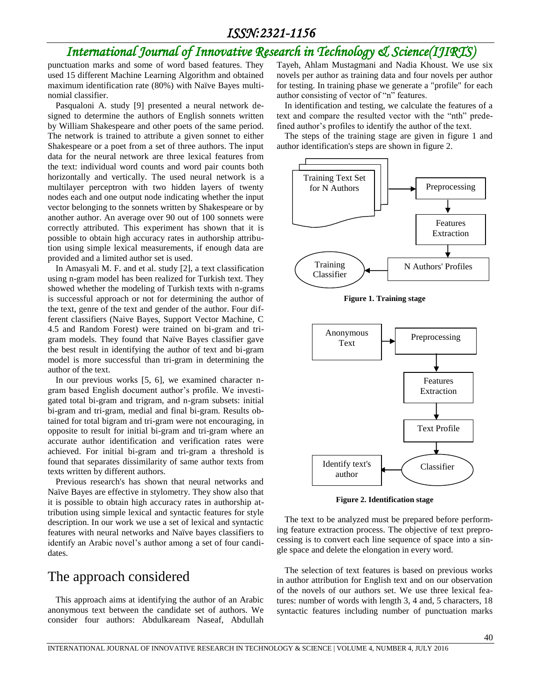### *International Journal of Innovative Research in Technology & Science(IJIRTS)*

punctuation marks and some of word based features. They used 15 different Machine Learning Algorithm and obtained maximum identification rate (80%) with Naïve Bayes multinomial classifier.

Pasqualoni A. study [9] presented a neural network designed to determine the authors of English sonnets written by William Shakespeare and other poets of the same period. The network is trained to attribute a given sonnet to either Shakespeare or a poet from a set of three authors. The input data for the neural network are three lexical features from the text: individual word counts and word pair counts both horizontally and vertically. The used neural network is a multilayer perceptron with two hidden layers of twenty nodes each and one output node indicating whether the input vector belonging to the sonnets written by Shakespeare or by another author. An average over 90 out of 100 sonnets were correctly attributed. This experiment has shown that it is possible to obtain high accuracy rates in authorship attribution using simple lexical measurements, if enough data are provided and a limited author set is used.

In Amasyali M. F. and et al. study [2], a text classification using n-gram model has been realized for Turkish text. They showed whether the modeling of Turkish texts with n-grams is successful approach or not for determining the author of the text, genre of the text and gender of the author. Four different classifiers (Naive Bayes, Support Vector Machine, C 4.5 and Random Forest) were trained on bi-gram and trigram models. They found that Naïve Bayes classifier gave the best result in identifying the author of text and bi-gram model is more successful than tri-gram in determining the author of the text.

In our previous works [5, 6], we examined character ngram based English document author's profile. We investigated total bi-gram and trigram, and n-gram subsets: initial bi-gram and tri-gram, medial and final bi-gram. Results obtained for total bigram and tri-gram were not encouraging, in opposite to result for initial bi-gram and tri-gram where an accurate author identification and verification rates were achieved. For initial bi-gram and tri-gram a threshold is found that separates dissimilarity of same author texts from texts written by different authors.

Previous research's has shown that neural networks and Naïve Bayes are effective in stylometry. They show also that it is possible to obtain high accuracy rates in authorship attribution using simple lexical and syntactic features for style description. In our work we use a set of lexical and syntactic features with neural networks and Naïve bayes classifiers to identify an Arabic novel's author among a set of four candidates.

#### The approach considered

This approach aims at identifying the author of an Arabic anonymous text between the candidate set of authors. We consider four authors: Abdulkaream Naseaf, Abdullah Tayeh, Ahlam Mustagmani and Nadia Khoust. We use six novels per author as training data and four novels per author for testing. In training phase we generate a "profile" for each author consisting of vector of "n" features.

In identification and testing, we calculate the features of a text and compare the resulted vector with the "nth" predefined author's profiles to identify the author of the text.

The steps of the training stage are given in figure 1 and author identification's steps are shown in figure 2.



**Figure 1. Training stage**



**Figure 2. Identification stage**

The text to be analyzed must be prepared before performing feature extraction process. The objective of text preprocessing is to convert each line sequence of space into a single space and delete the elongation in every word.

The selection of text features is based on previous works in author attribution for English text and on our observation of the novels of our authors set. We use three lexical features: number of words with length 3, 4 and, 5 characters, 18 syntactic features including number of punctuation marks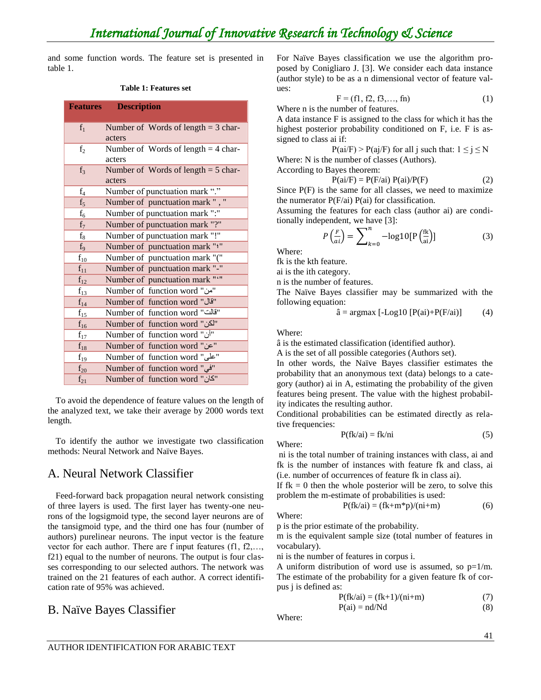and some function words. The feature set is presented in table 1.

#### **Table 1: Features set**

| <b>Features</b> | <b>Description</b>                    |
|-----------------|---------------------------------------|
|                 |                                       |
| $f_1$           | Number of Words of length $=$ 3 char- |
|                 | acters                                |
| f <sub>2</sub>  | Number of Words of length $=$ 4 char- |
|                 | acters                                |
| $f_3$           | Number of Words of length $=$ 5 char- |
|                 | acters                                |
| $f_4$           | Number of punctuation mark "."        |
| $f_5$           | Number of punctuation mark ", "       |
| $f_6$           | Number of punctuation mark ":"        |
| $f_7$           | Number of punctuation mark "?"        |
| $f_8$           | Number of punctuation mark "!"        |
| f <sub>9</sub>  | Number of punctuation mark ""         |
| $f_{10}$        | Number of punctuation mark "("        |
| $f_{11}$        | Number of punctuation mark "-"        |
| $f_{12}$        | Number of punctuation mark ""         |
| $f_{13}$        | Number of function word "من"          |
| $f_{14}$        | Number of function word "قال"         |
| $f_{15}$        | Number of function word "قالت"        |
| $f_{16}$        | Number of function word "لكن"         |
| $f_{17}$        | Number of function word "أن"          |
| $f_{18}$        | Number of function word "عن"          |
| $f_{19}$        | "على" Number of function word         |
| $f_{20}$        | Number of function word "في"          |
| $f_{21}$        | Number of function word "كان"         |

To avoid the dependence of feature values on the length of the analyzed text, we take their average by 2000 words text length.

To identify the author we investigate two classification methods: Neural Network and Naïve Bayes.

#### A. Neural Network Classifier

Feed-forward back propagation neural network consisting of three layers is used. The first layer has twenty-one neurons of the logsigmoid type, the second layer neurons are of the tansigmoid type, and the third one has four (number of authors) purelinear neurons. The input vector is the feature vector for each author. There are f input features (f1, f2,…, f21) equal to the number of neurons. The output is four classes corresponding to our selected authors. The network was trained on the 21 features of each author. A correct identification rate of 95% was achieved.

#### B. Naïve Bayes Classifier

For Naïve Bayes classification we use the algorithm proposed by Conigliaro J. [3]. We consider each data instance (author style) to be as a n dimensional vector of feature values:

$$
F = (f1, f2, f3, ..., fn)
$$
 (1)

Where n is the number of features.

A data instance F is assigned to the class for which it has the highest posterior probability conditioned on F, i.e. F is assigned to class ai if:

 $P(ai/F) > P(ai/F)$  for all j such that:  $1 \le j \le N$ Where: N is the number of classes (Authors).

According to Bayes theorem:

$$
P(ai/F) = P(F/ai) P(ai)/P(F)
$$
 (2)

Since  $P(F)$  is the same for all classes, we need to maximize the numerator  $P(F/ai) P(ai)$  for classification.

Assuming the features for each class (author ai) are conditionally independent, we have [3]:

$$
P\left(\frac{F}{ai}\right) = \sum_{k=0}^{n} -\log 10 \left[ P\left(\frac{fk}{ai}\right) \right] \tag{3}
$$

Where:

fk is the kth feature.

ai is the ith category.

n is the number of features.

The Naïve Bayes classifier may be summarized with the following equation:

$$
\hat{a} = \operatorname{argmax} \left[ -\text{Log} 10 \left[ P(\text{ai}) + P(F/\text{ai}) \right] \right] \tag{4}
$$

Where:

â is the estimated classification (identified author).

A is the set of all possible categories (Authors set).

In other words, the Naïve Bayes classifier estimates the probability that an anonymous text (data) belongs to a category (author) ai in A, estimating the probability of the given features being present. The value with the highest probability indicates the resulting author.

Conditional probabilities can be estimated directly as relative frequencies:

$$
P(fk/ai) = f k/ni
$$
 (5)

Where:

ni is the total number of training instances with class, ai and fk is the number of instances with feature fk and class, ai (i.e. number of occurrences of feature fk in class ai).

If  $fk = 0$  then the whole posterior will be zero, to solve this problem the m-estimate of probabilities is used:

$$
P(fk/ai) = (fk+m*p)/(ni+m)
$$
 (6)

Where:

p is the prior estimate of the probability.

m is the equivalent sample size (total number of features in vocabulary).

ni is the number of features in corpus i.

A uniform distribution of word use is assumed, so  $p=1/m$ . The estimate of the probability for a given feature fk of corpus j is defined as:

$$
P(fk/ai) = (fk+1)/(ni+m)
$$
  
\n
$$
P(ai) = nd/Nd
$$
 (8)

Where: